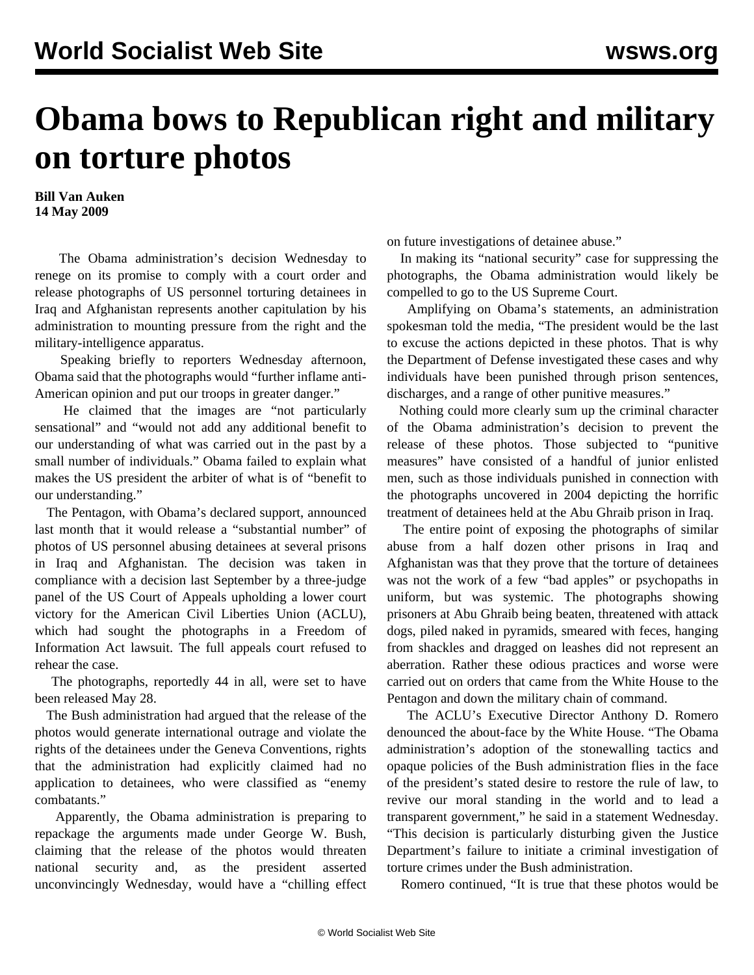## **Obama bows to Republican right and military on torture photos**

**Bill Van Auken 14 May 2009**

 The Obama administration's decision Wednesday to renege on its promise to comply with a court order and release photographs of US personnel torturing detainees in Iraq and Afghanistan represents another capitulation by his administration to mounting pressure from the right and the military-intelligence apparatus.

 Speaking briefly to reporters Wednesday afternoon, Obama said that the photographs would "further inflame anti-American opinion and put our troops in greater danger."

 He claimed that the images are "not particularly sensational" and "would not add any additional benefit to our understanding of what was carried out in the past by a small number of individuals." Obama failed to explain what makes the US president the arbiter of what is of "benefit to our understanding."

 The Pentagon, with Obama's declared support, announced last month that it would release a "substantial number" of photos of US personnel abusing detainees at several prisons in Iraq and Afghanistan. The decision was taken in compliance with a decision last September by a three-judge panel of the US Court of Appeals upholding a lower court victory for the American Civil Liberties Union (ACLU), which had sought the photographs in a Freedom of Information Act lawsuit. The full appeals court refused to rehear the case.

 The photographs, reportedly 44 in all, were set to have been released May 28.

 The Bush administration had argued that the release of the photos would generate international outrage and violate the rights of the detainees under the Geneva Conventions, rights that the administration had explicitly claimed had no application to detainees, who were classified as "enemy combatants."

 Apparently, the Obama administration is preparing to repackage the arguments made under George W. Bush, claiming that the release of the photos would threaten national security and, as the president asserted unconvincingly Wednesday, would have a "chilling effect on future investigations of detainee abuse."

 In making its "national security" case for suppressing the photographs, the Obama administration would likely be compelled to go to the US Supreme Court.

 Amplifying on Obama's statements, an administration spokesman told the media, "The president would be the last to excuse the actions depicted in these photos. That is why the Department of Defense investigated these cases and why individuals have been punished through prison sentences, discharges, and a range of other punitive measures."

 Nothing could more clearly sum up the criminal character of the Obama administration's decision to prevent the release of these photos. Those subjected to "punitive measures" have consisted of a handful of junior enlisted men, such as those individuals punished in connection with the photographs uncovered in 2004 depicting the horrific treatment of detainees held at the Abu Ghraib prison in Iraq.

 The entire point of exposing the photographs of similar abuse from a half dozen other prisons in Iraq and Afghanistan was that they prove that the torture of detainees was not the work of a few "bad apples" or psychopaths in uniform, but was systemic. The photographs showing prisoners at Abu Ghraib being beaten, threatened with attack dogs, piled naked in pyramids, smeared with feces, hanging from shackles and dragged on leashes did not represent an aberration. Rather these odious practices and worse were carried out on orders that came from the White House to the Pentagon and down the military chain of command.

 The ACLU's Executive Director Anthony D. Romero denounced the about-face by the White House. "The Obama administration's adoption of the stonewalling tactics and opaque policies of the Bush administration flies in the face of the president's stated desire to restore the rule of law, to revive our moral standing in the world and to lead a transparent government," he said in a statement Wednesday. "This decision is particularly disturbing given the Justice Department's failure to initiate a criminal investigation of torture crimes under the Bush administration.

Romero continued, "It is true that these photos would be